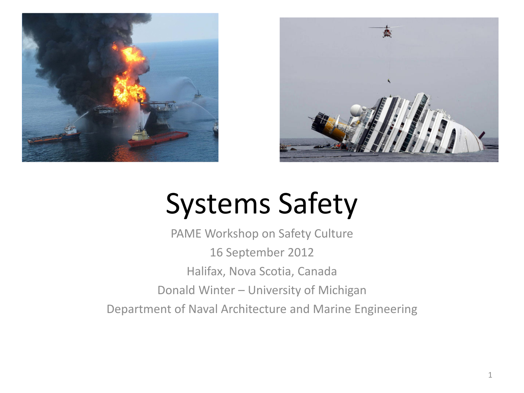



### Systems Safety

PAME Workshop on Safety Culture 16 September 2012 Halifax, Nova Scotia, Canada Donald Winter – University of Michigan Department of Naval Architecture and Marine Engineering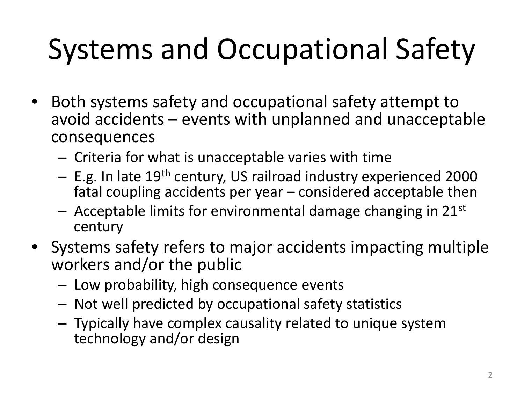# Systems and Occupational Safety

- Both systems safety and occupational safety attempt to avoid accidents – events with unplanned and unacceptable consequences
	- Criteria for what is unacceptable varies with time
	- E.g. In late 19th century, US railroad industry experienced 2000 fatal coupling accidents per year – considered acceptable then
	- $-$  Acceptable limits for environmental damage changing in 21st century
- Systems safety refers to major accidents impacting multiple workers and/or the public
	- Low probability, high consequence events
	- Not well predicted by occupational safety statistics
	- Typically have complex causality related to unique system technology and/or design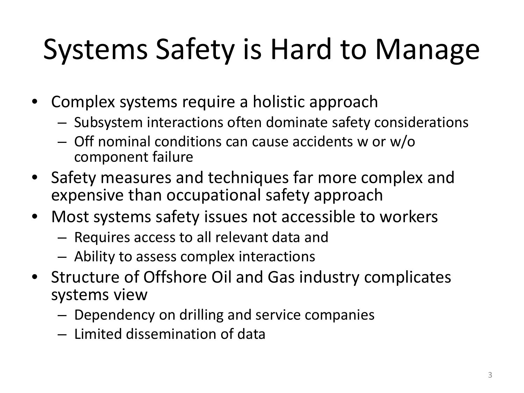# Systems Safety is Hard to Manage

- Complex systems require a holistic approach
	- Subsystem interactions often dominate safety considerations
	- Off nominal conditions can cause accidents w or w/o component failure
- Safety measures and techniques far more complex and expensive than occupational safety approach
- Most systems safety issues not accessible to workers
	- Requires access to all relevant data and
	- Ability to assess complex interactions
- Structure of Offshore Oil and Gas industry complicates systems view
	- Dependency on drilling and service companies
	- Limited dissemination of data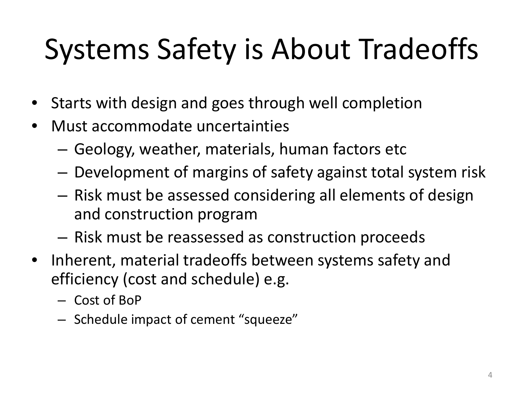# Systems Safety is About Tradeoffs

- Starts with design and goes through well completion
- Must accommodate uncertainties
	- Geology, weather, materials, human factors etc
	- Development of margins of safety against total system risk
	- Risk must be assessed considering all elements of design and construction program
	- Risk must be reassessed as construction proceeds
- Inherent, material tradeoffs between systems safety and efficiency (cost and schedule) e.g.
	- Cost of BoP
	- Schedule impact of cement "squeeze"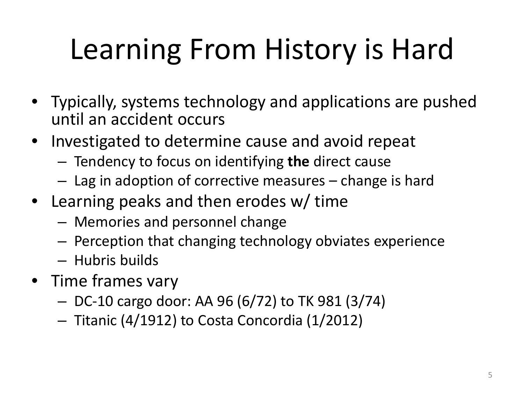# Learning From History is Hard

- Typically, systems technology and applications are pushed until an accident occurs
- Investigated to determine cause and avoid repeat
	- Tendency to focus on identifying **the** direct cause
	- Lag in adoption of corrective measures change is hard
- Learning peaks and then erodes w/ time
	- Memories and personnel change
	- Perception that changing technology obviates experience
	- Hubris builds
- Time frames vary
	- DC-10 cargo door: AA 96 (6/72) to TK 981 (3/74)
	- Titanic (4/1912) to Costa Concordia (1/2012)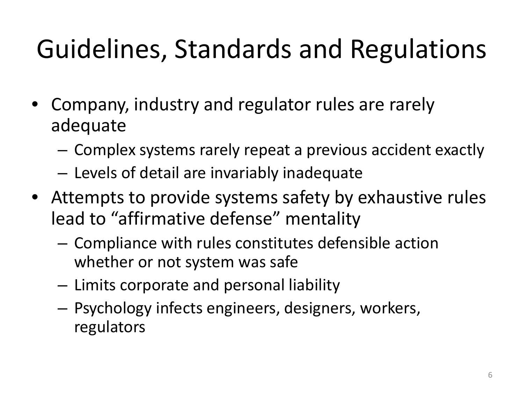### Guidelines, Standards and Regulations

- Company, industry and regulator rules are rarely adequate
	- Complex systems rarely repeat a previous accident exactly
	- Levels of detail are invariably inadequate
- Attempts to provide systems safety by exhaustive rules lead to "affirmative defense" mentality
	- Compliance with rules constitutes defensible action whether or not system was safe
	- Limits corporate and personal liability
	- Psychology infects engineers, designers, workers, regulators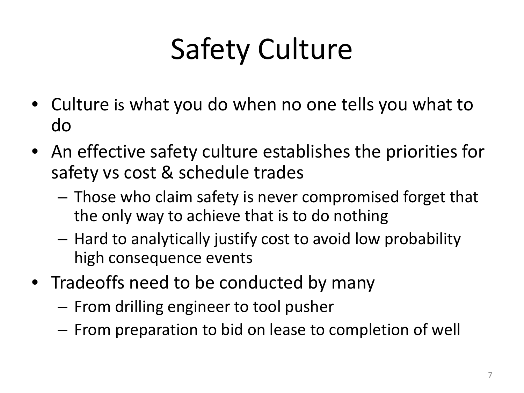# Safety Culture

- Culture is what you do when no one tells you what to do
- An effective safety culture establishes the priorities for safety vs cost & schedule trades
	- Those who claim safety is never compromised forget that the only way to achieve that is to do nothing
	- Hard to analytically justify cost to avoid low probability high consequence events
- Tradeoffs need to be conducted by many
	- From drilling engineer to tool pusher
	- From preparation to bid on lease to completion of well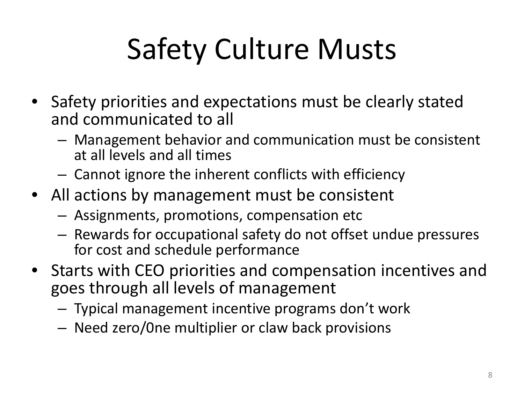# Safety Culture Musts

- Safety priorities and expectations must be clearly stated and communicated to all
	- Management behavior and communication must be consistent at all levels and all times
	- Cannot ignore the inherent conflicts with efficiency
- All actions by management must be consistent
	- Assignments, promotions, compensation etc
	- Rewards for occupational safety do not offset undue pressures for cost and schedule performance
- Starts with CEO priorities and compensation incentives and goes through all levels of management
	- Typical management incentive programs don't work
	- Need zero/0ne multiplier or claw back provisions